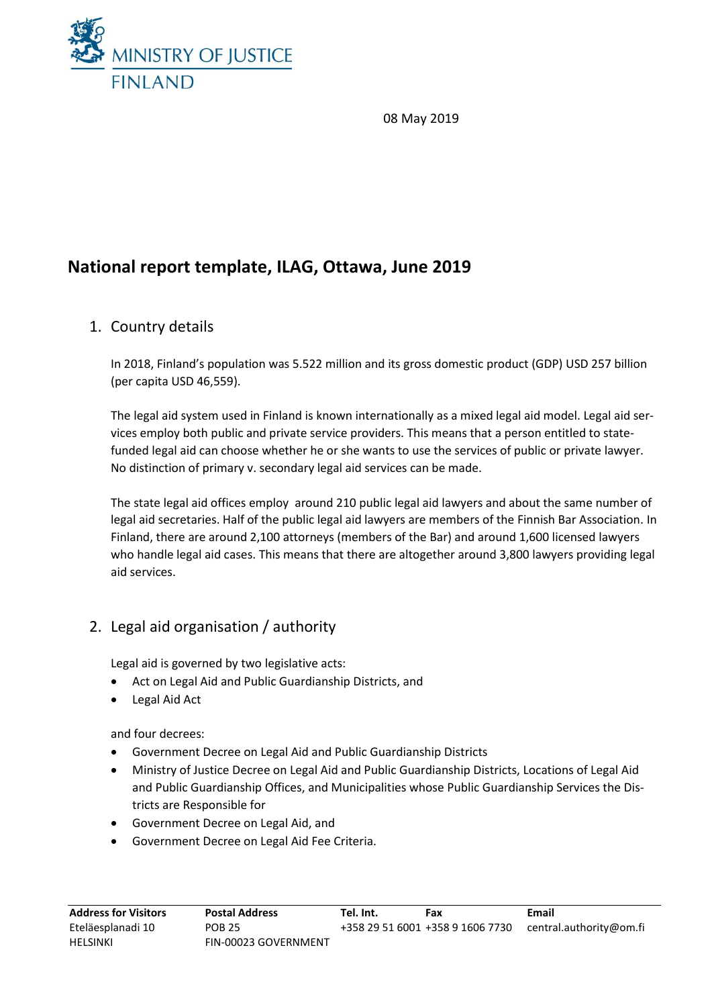

08 May 2019

# **National report template, ILAG, Ottawa, June 2019**

## 1. Country details

In 2018, Finland's population was 5.522 million and its gross domestic product (GDP) USD 257 billion (per capita USD 46,559).

The legal aid system used in Finland is known internationally as a mixed legal aid model. Legal aid services employ both public and private service providers. This means that a person entitled to statefunded legal aid can choose whether he or she wants to use the services of public or private lawyer. No distinction of primary v. secondary legal aid services can be made.

The state legal aid offices employ around 210 public legal aid lawyers and about the same number of legal aid secretaries. Half of the public legal aid lawyers are members of the Finnish Bar Association. In Finland, there are around 2,100 attorneys (members of the Bar) and around 1,600 licensed lawyers who handle legal aid cases. This means that there are altogether around 3,800 lawyers providing legal aid services.

## 2. Legal aid organisation / authority

Legal aid is governed by two legislative acts:

- Act on Legal Aid and Public Guardianship Districts, and
- Legal Aid Act

and four decrees:

- Government Decree on Legal Aid and Public Guardianship Districts
- Ministry of Justice Decree on Legal Aid and Public Guardianship Districts, Locations of Legal Aid and Public Guardianship Offices, and Municipalities whose Public Guardianship Services the Districts are Responsible for
- Government Decree on Legal Aid, and
- Government Decree on Legal Aid Fee Criteria.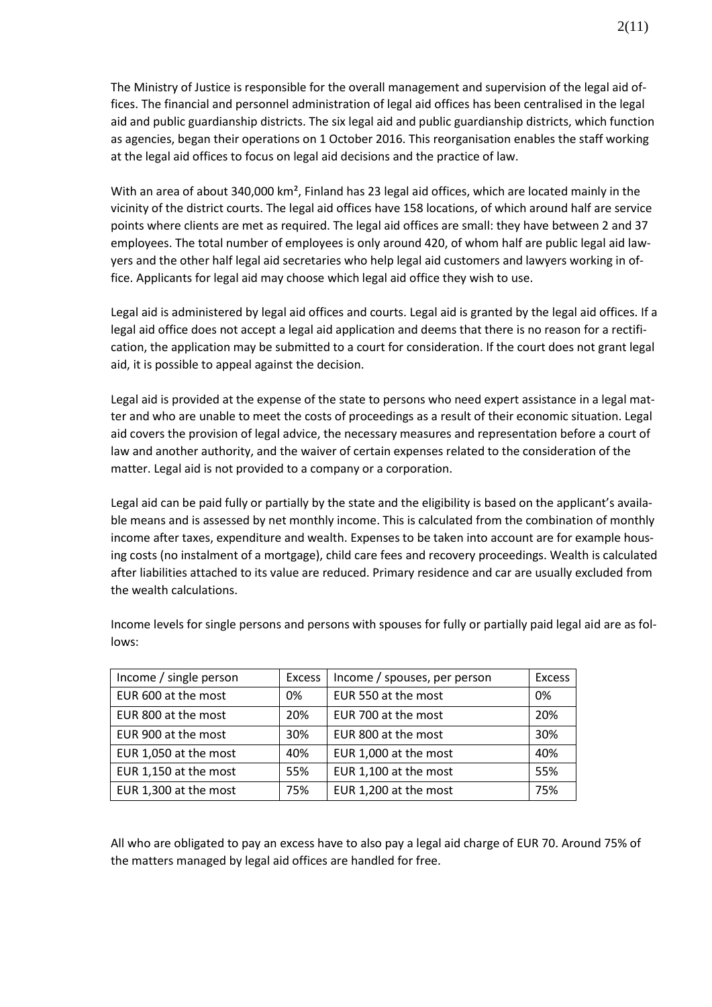The Ministry of Justice is responsible for the overall management and supervision of the legal aid offices. The financial and personnel administration of legal aid offices has been centralised in the legal aid and public guardianship districts. The six legal aid and public guardianship districts, which function as agencies, began their operations on 1 October 2016. This reorganisation enables the staff working at the legal aid offices to focus on legal aid decisions and the practice of law.

With an area of about 340,000 km², Finland has 23 legal aid offices, which are located mainly in the vicinity of the district courts. The legal aid offices have 158 locations, of which around half are service points where clients are met as required. The legal aid offices are small: they have between 2 and 37 employees. The total number of employees is only around 420, of whom half are public legal aid lawyers and the other half legal aid secretaries who help legal aid customers and lawyers working in office. Applicants for legal aid may choose which legal aid office they wish to use.

Legal aid is administered by legal aid offices and courts. Legal aid is granted by the legal aid offices. If a legal aid office does not accept a legal aid application and deems that there is no reason for a rectification, the application may be submitted to a court for consideration. If the court does not grant legal aid, it is possible to appeal against the decision.

Legal aid is provided at the expense of the state to persons who need expert assistance in a legal matter and who are unable to meet the costs of proceedings as a result of their economic situation. Legal aid covers the provision of legal advice, the necessary measures and representation before a court of law and another authority, and the waiver of certain expenses related to the consideration of the matter. Legal aid is not provided to a company or a corporation.

Legal aid can be paid fully or partially by the state and the eligibility is based on the applicant's available means and is assessed by net monthly income. This is calculated from the combination of monthly income after taxes, expenditure and wealth. Expenses to be taken into account are for example housing costs (no instalment of a mortgage), child care fees and recovery proceedings. Wealth is calculated after liabilities attached to its value are reduced. Primary residence and car are usually excluded from the wealth calculations.

| Income / single person | <b>Excess</b> | Income / spouses, per person | <b>Excess</b> |
|------------------------|---------------|------------------------------|---------------|
|                        |               |                              |               |
| EUR 600 at the most    | 0%            | EUR 550 at the most          | 0%            |
| EUR 800 at the most    | 20%           | EUR 700 at the most          | 20%           |
|                        |               |                              |               |
| EUR 900 at the most    | 30%           | EUR 800 at the most          | 30%           |
|                        |               |                              |               |
| EUR 1,050 at the most  | 40%           | EUR 1,000 at the most        | 40%           |
|                        |               |                              |               |
| EUR 1,150 at the most  | 55%           | EUR 1,100 at the most        | 55%           |
|                        |               |                              |               |
| EUR 1,300 at the most  | 75%           | EUR 1,200 at the most        | 75%           |

Income levels for single persons and persons with spouses for fully or partially paid legal aid are as follows:

All who are obligated to pay an excess have to also pay a legal aid charge of EUR 70. Around 75% of the matters managed by legal aid offices are handled for free.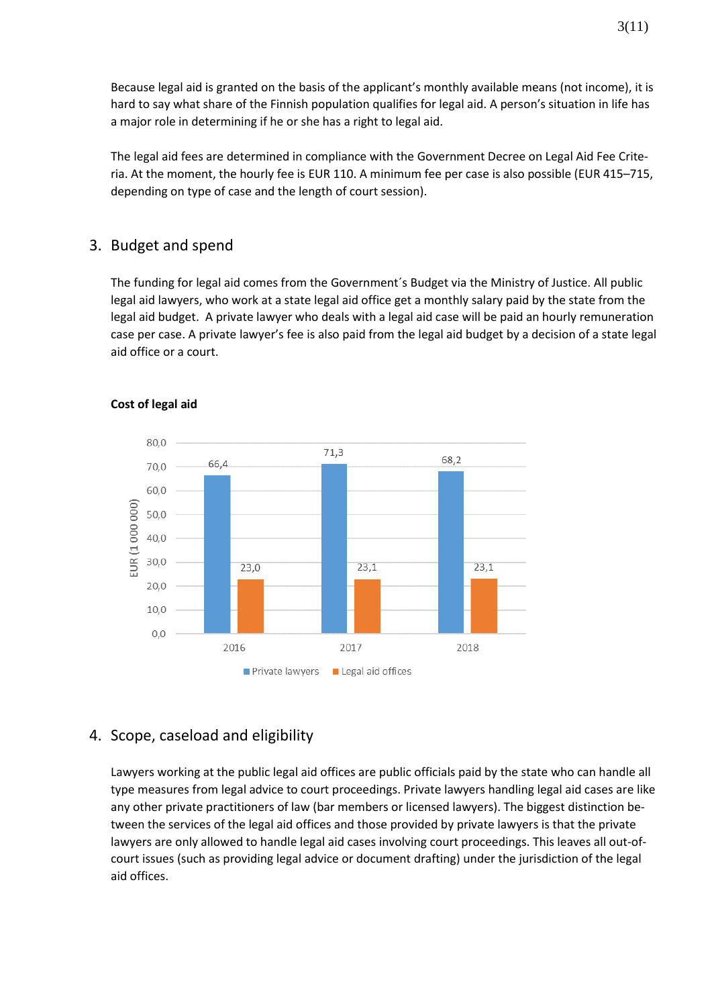Because legal aid is granted on the basis of the applicant's monthly available means (not income), it is hard to say what share of the Finnish population qualifies for legal aid. A person's situation in life has a major role in determining if he or she has a right to legal aid.

The legal aid fees are determined in compliance with the Government Decree on Legal Aid Fee Criteria. At the moment, the hourly fee is EUR 110. A minimum fee per case is also possible (EUR 415–715, depending on type of case and the length of court session).

### 3. Budget and spend

The funding for legal aid comes from the Government´s Budget via the Ministry of Justice. All public legal aid lawyers, who work at a state legal aid office get a monthly salary paid by the state from the legal aid budget. A private lawyer who deals with a legal aid case will be paid an hourly remuneration case per case. A private lawyer's fee is also paid from the legal aid budget by a decision of a state legal aid office or a court.



#### **Cost of legal aid**

## 4. Scope, caseload and eligibility

Lawyers working at the public legal aid offices are public officials paid by the state who can handle all type measures from legal advice to court proceedings. Private lawyers handling legal aid cases are like any other private practitioners of law (bar members or licensed lawyers). The biggest distinction between the services of the legal aid offices and those provided by private lawyers is that the private lawyers are only allowed to handle legal aid cases involving court proceedings. This leaves all out-ofcourt issues (such as providing legal advice or document drafting) under the jurisdiction of the legal aid offices.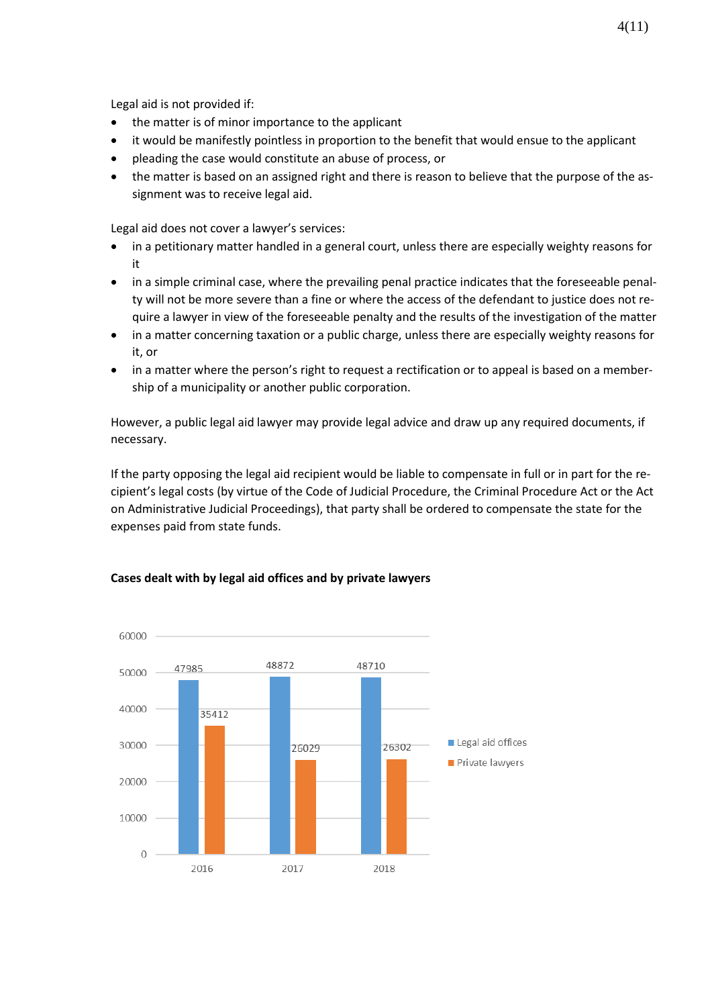Legal aid is not provided if:

- the matter is of minor importance to the applicant
- it would be manifestly pointless in proportion to the benefit that would ensue to the applicant
- pleading the case would constitute an abuse of process, or
- the matter is based on an assigned right and there is reason to believe that the purpose of the assignment was to receive legal aid.

Legal aid does not cover a lawyer's services:

- in a petitionary matter handled in a general court, unless there are especially weighty reasons for it
- in a simple criminal case, where the prevailing penal practice indicates that the foreseeable penalty will not be more severe than a fine or where the access of the defendant to justice does not require a lawyer in view of the foreseeable penalty and the results of the investigation of the matter
- in a matter concerning taxation or a public charge, unless there are especially weighty reasons for it, or
- in a matter where the person's right to request a rectification or to appeal is based on a membership of a municipality or another public corporation.

However, a public legal aid lawyer may provide legal advice and draw up any required documents, if necessary.

If the party opposing the legal aid recipient would be liable to compensate in full or in part for the recipient's legal costs (by virtue of the Code of Judicial Procedure, the Criminal Procedure Act or the Act on Administrative Judicial Proceedings), that party shall be ordered to compensate the state for the expenses paid from state funds.



#### **Cases dealt with by legal aid offices and by private lawyers**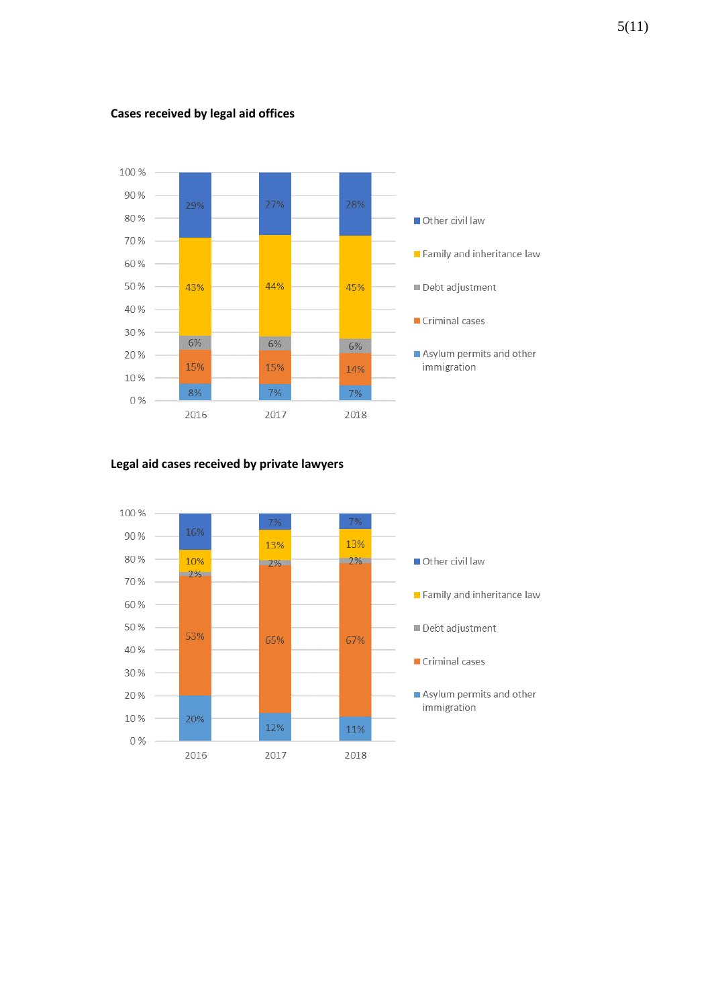

#### **Cases received by legal aid offices**

#### **Legal aid cases received by private lawyers**

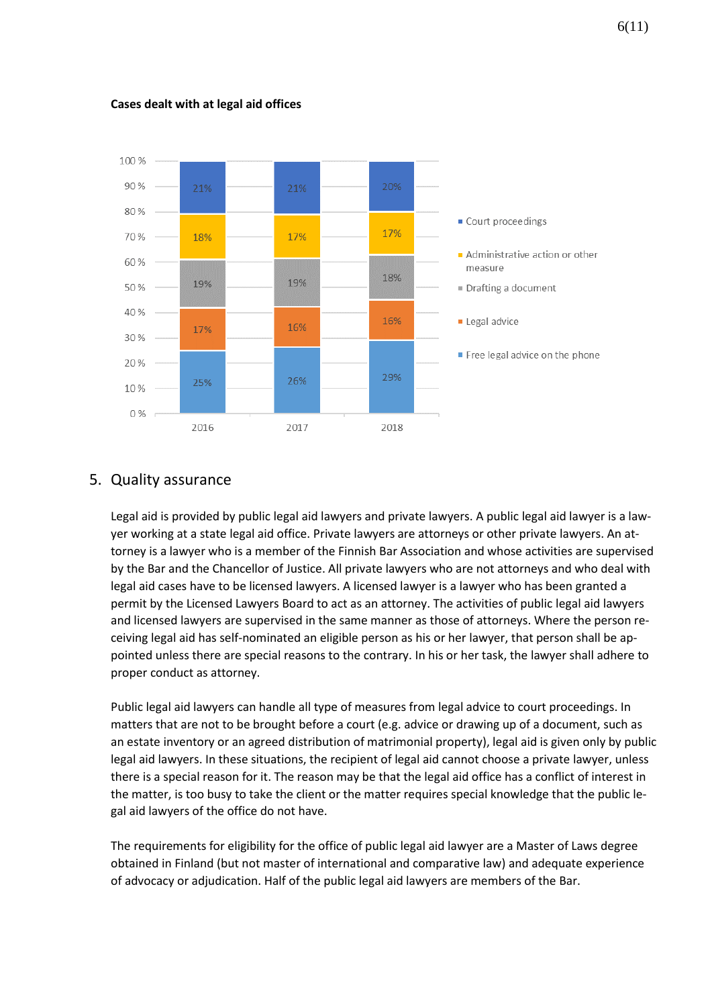

#### **Cases dealt with at legal aid offices**

## 5. Quality assurance

Legal aid is provided by public legal aid lawyers and private lawyers. A public legal aid lawyer is a lawyer working at a state legal aid office. Private lawyers are attorneys or other private lawyers. An attorney is a lawyer who is a member of the Finnish Bar Association and whose activities are supervised by the Bar and the Chancellor of Justice. All private lawyers who are not attorneys and who deal with legal aid cases have to be licensed lawyers. A licensed lawyer is a lawyer who has been granted a permit by the Licensed Lawyers Board to act as an attorney. The activities of public legal aid lawyers and licensed lawyers are supervised in the same manner as those of attorneys. Where the person receiving legal aid has self-nominated an eligible person as his or her lawyer, that person shall be appointed unless there are special reasons to the contrary. In his or her task, the lawyer shall adhere to proper conduct as attorney.

Public legal aid lawyers can handle all type of measures from legal advice to court proceedings. In matters that are not to be brought before a court (e.g. advice or drawing up of a document, such as an estate inventory or an agreed distribution of matrimonial property), legal aid is given only by public legal aid lawyers. In these situations, the recipient of legal aid cannot choose a private lawyer, unless there is a special reason for it. The reason may be that the legal aid office has a conflict of interest in the matter, is too busy to take the client or the matter requires special knowledge that the public legal aid lawyers of the office do not have.

The requirements for eligibility for the office of public legal aid lawyer are a Master of Laws degree obtained in Finland (but not master of international and comparative law) and adequate experience of advocacy or adjudication. Half of the public legal aid lawyers are members of the Bar.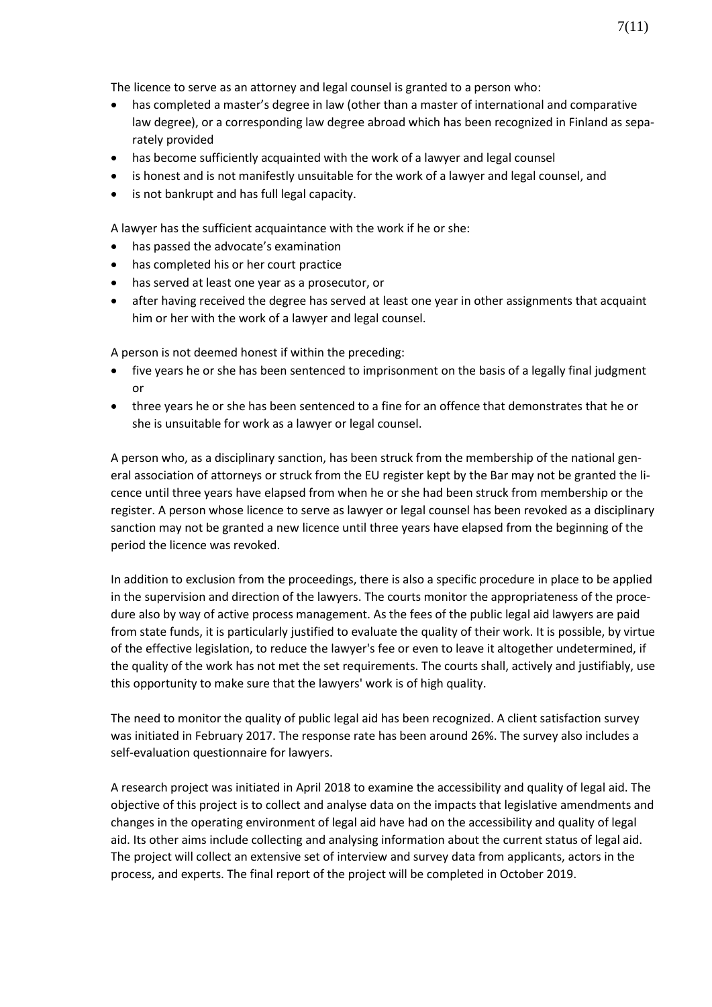The licence to serve as an attorney and legal counsel is granted to a person who:

- has completed a master's degree in law (other than a master of international and comparative law degree), or a corresponding law degree abroad which has been recognized in Finland as separately provided
- has become sufficiently acquainted with the work of a lawyer and legal counsel
- is honest and is not manifestly unsuitable for the work of a lawyer and legal counsel, and
- is not bankrupt and has full legal capacity.

A lawyer has the sufficient acquaintance with the work if he or she:

- has passed the advocate's examination
- has completed his or her court practice
- has served at least one year as a prosecutor, or
- after having received the degree has served at least one year in other assignments that acquaint him or her with the work of a lawyer and legal counsel.

A person is not deemed honest if within the preceding:

- five years he or she has been sentenced to imprisonment on the basis of a legally final judgment or
- three years he or she has been sentenced to a fine for an offence that demonstrates that he or she is unsuitable for work as a lawyer or legal counsel.

A person who, as a disciplinary sanction, has been struck from the membership of the national general association of attorneys or struck from the EU register kept by the Bar may not be granted the licence until three years have elapsed from when he or she had been struck from membership or the register. A person whose licence to serve as lawyer or legal counsel has been revoked as a disciplinary sanction may not be granted a new licence until three years have elapsed from the beginning of the period the licence was revoked.

In addition to exclusion from the proceedings, there is also a specific procedure in place to be applied in the supervision and direction of the lawyers. The courts monitor the appropriateness of the procedure also by way of active process management. As the fees of the public legal aid lawyers are paid from state funds, it is particularly justified to evaluate the quality of their work. It is possible, by virtue of the effective legislation, to reduce the lawyer's fee or even to leave it altogether undetermined, if the quality of the work has not met the set requirements. The courts shall, actively and justifiably, use this opportunity to make sure that the lawyers' work is of high quality.

The need to monitor the quality of public legal aid has been recognized. A client satisfaction survey was initiated in February 2017. The response rate has been around 26%. The survey also includes a self-evaluation questionnaire for lawyers.

A research project was initiated in April 2018 to examine the accessibility and quality of legal aid. The objective of this project is to collect and analyse data on the impacts that legislative amendments and changes in the operating environment of legal aid have had on the accessibility and quality of legal aid. Its other aims include collecting and analysing information about the current status of legal aid. The project will collect an extensive set of interview and survey data from applicants, actors in the process, and experts. The final report of the project will be completed in October 2019.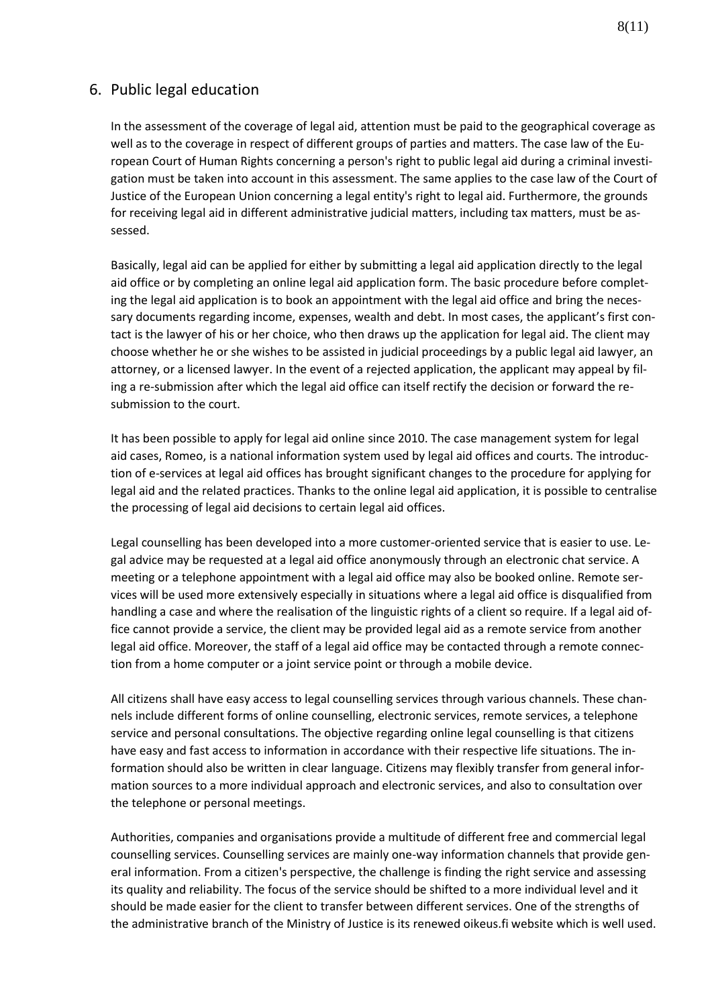## 6. Public legal education

In the assessment of the coverage of legal aid, attention must be paid to the geographical coverage as well as to the coverage in respect of different groups of parties and matters. The case law of the European Court of Human Rights concerning a person's right to public legal aid during a criminal investigation must be taken into account in this assessment. The same applies to the case law of the Court of Justice of the European Union concerning a legal entity's right to legal aid. Furthermore, the grounds for receiving legal aid in different administrative judicial matters, including tax matters, must be assessed.

Basically, legal aid can be applied for either by submitting a legal aid application directly to the legal aid office or by completing an online legal aid application form. The basic procedure before completing the legal aid application is to book an appointment with the legal aid office and bring the necessary documents regarding income, expenses, wealth and debt. In most cases, the applicant's first contact is the lawyer of his or her choice, who then draws up the application for legal aid. The client may choose whether he or she wishes to be assisted in judicial proceedings by a public legal aid lawyer, an attorney, or a licensed lawyer. In the event of a rejected application, the applicant may appeal by filing a re-submission after which the legal aid office can itself rectify the decision or forward the resubmission to the court.

It has been possible to apply for legal aid online since 2010. The case management system for legal aid cases, Romeo, is a national information system used by legal aid offices and courts. The introduction of e-services at legal aid offices has brought significant changes to the procedure for applying for legal aid and the related practices. Thanks to the online legal aid application, it is possible to centralise the processing of legal aid decisions to certain legal aid offices.

Legal counselling has been developed into a more customer-oriented service that is easier to use. Legal advice may be requested at a legal aid office anonymously through an electronic chat service. A meeting or a telephone appointment with a legal aid office may also be booked online. Remote services will be used more extensively especially in situations where a legal aid office is disqualified from handling a case and where the realisation of the linguistic rights of a client so require. If a legal aid office cannot provide a service, the client may be provided legal aid as a remote service from another legal aid office. Moreover, the staff of a legal aid office may be contacted through a remote connection from a home computer or a joint service point or through a mobile device.

All citizens shall have easy access to legal counselling services through various channels. These channels include different forms of online counselling, electronic services, remote services, a telephone service and personal consultations. The objective regarding online legal counselling is that citizens have easy and fast access to information in accordance with their respective life situations. The information should also be written in clear language. Citizens may flexibly transfer from general information sources to a more individual approach and electronic services, and also to consultation over the telephone or personal meetings.

Authorities, companies and organisations provide a multitude of different free and commercial legal counselling services. Counselling services are mainly one-way information channels that provide general information. From a citizen's perspective, the challenge is finding the right service and assessing its quality and reliability. The focus of the service should be shifted to a more individual level and it should be made easier for the client to transfer between different services. One of the strengths of the administrative branch of the Ministry of Justice is its renewed oikeus.fi website which is well used.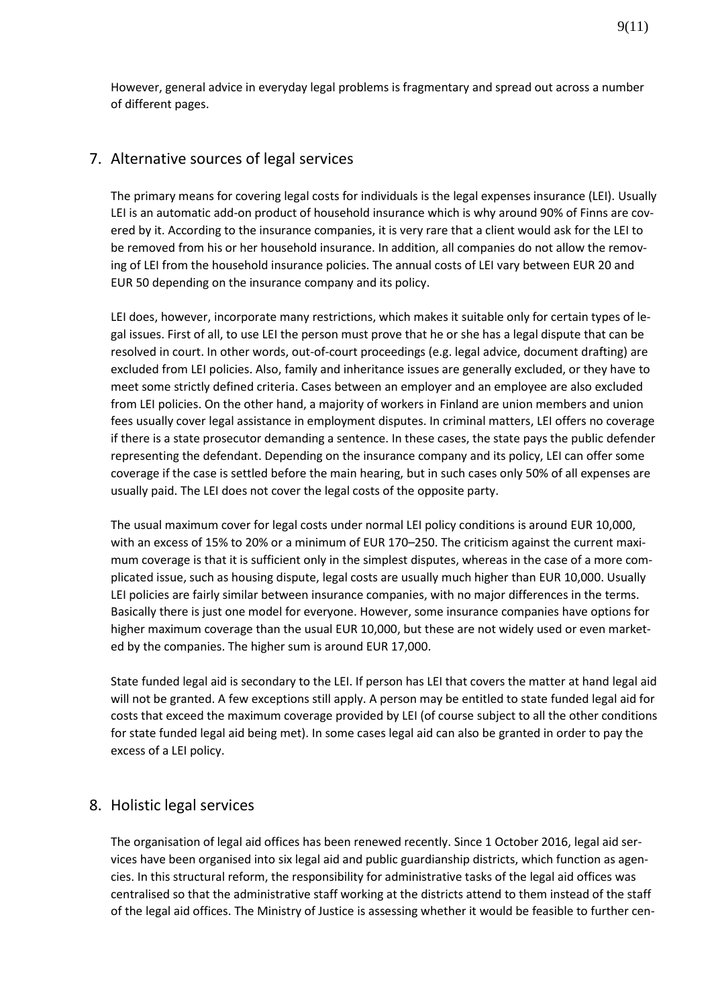However, general advice in everyday legal problems is fragmentary and spread out across a number of different pages.

## 7. Alternative sources of legal services

The primary means for covering legal costs for individuals is the legal expenses insurance (LEI). Usually LEI is an automatic add-on product of household insurance which is why around 90% of Finns are covered by it. According to the insurance companies, it is very rare that a client would ask for the LEI to be removed from his or her household insurance. In addition, all companies do not allow the removing of LEI from the household insurance policies. The annual costs of LEI vary between EUR 20 and EUR 50 depending on the insurance company and its policy.

LEI does, however, incorporate many restrictions, which makes it suitable only for certain types of legal issues. First of all, to use LEI the person must prove that he or she has a legal dispute that can be resolved in court. In other words, out-of-court proceedings (e.g. legal advice, document drafting) are excluded from LEI policies. Also, family and inheritance issues are generally excluded, or they have to meet some strictly defined criteria. Cases between an employer and an employee are also excluded from LEI policies. On the other hand, a majority of workers in Finland are union members and union fees usually cover legal assistance in employment disputes. In criminal matters, LEI offers no coverage if there is a state prosecutor demanding a sentence. In these cases, the state pays the public defender representing the defendant. Depending on the insurance company and its policy, LEI can offer some coverage if the case is settled before the main hearing, but in such cases only 50% of all expenses are usually paid. The LEI does not cover the legal costs of the opposite party.

The usual maximum cover for legal costs under normal LEI policy conditions is around EUR 10,000, with an excess of 15% to 20% or a minimum of EUR 170–250. The criticism against the current maximum coverage is that it is sufficient only in the simplest disputes, whereas in the case of a more complicated issue, such as housing dispute, legal costs are usually much higher than EUR 10,000. Usually LEI policies are fairly similar between insurance companies, with no major differences in the terms. Basically there is just one model for everyone. However, some insurance companies have options for higher maximum coverage than the usual EUR 10,000, but these are not widely used or even marketed by the companies. The higher sum is around EUR 17,000.

State funded legal aid is secondary to the LEI. If person has LEI that covers the matter at hand legal aid will not be granted. A few exceptions still apply. A person may be entitled to state funded legal aid for costs that exceed the maximum coverage provided by LEI (of course subject to all the other conditions for state funded legal aid being met). In some cases legal aid can also be granted in order to pay the excess of a LEI policy.

### 8. Holistic legal services

The organisation of legal aid offices has been renewed recently. Since 1 October 2016, legal aid services have been organised into six legal aid and public guardianship districts, which function as agencies. In this structural reform, the responsibility for administrative tasks of the legal aid offices was centralised so that the administrative staff working at the districts attend to them instead of the staff of the legal aid offices. The Ministry of Justice is assessing whether it would be feasible to further cen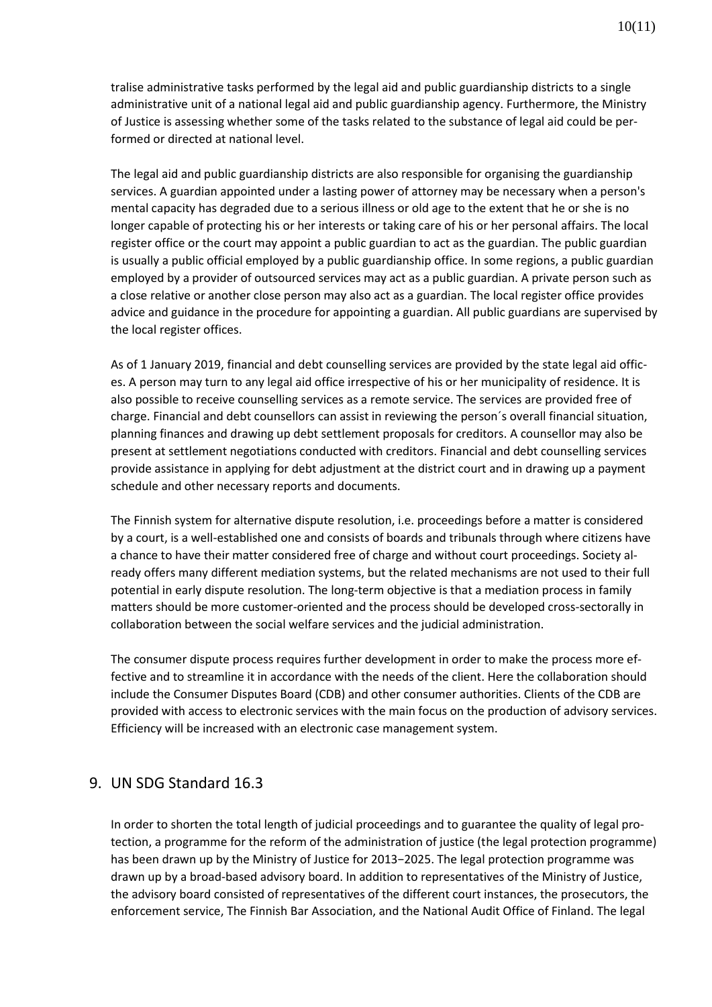tralise administrative tasks performed by the legal aid and public guardianship districts to a single administrative unit of a national legal aid and public guardianship agency. Furthermore, the Ministry of Justice is assessing whether some of the tasks related to the substance of legal aid could be performed or directed at national level.

The legal aid and public guardianship districts are also responsible for organising the guardianship services. A guardian appointed under a lasting power of attorney may be necessary when a person's mental capacity has degraded due to a serious illness or old age to the extent that he or she is no longer capable of protecting his or her interests or taking care of his or her personal affairs. The local register office or the court may appoint a public guardian to act as the guardian. The public guardian is usually a public official employed by a public guardianship office. In some regions, a public guardian employed by a provider of outsourced services may act as a public guardian. A private person such as a close relative or another close person may also act as a guardian. The local register office provides advice and guidance in the procedure for appointing a guardian. All public guardians are supervised by the local register offices.

As of 1 January 2019, financial and debt counselling services are provided by the state legal aid offices. A person may turn to any legal aid office irrespective of his or her municipality of residence. It is also possible to receive counselling services as a remote service. The services are provided free of charge. Financial and debt counsellors can assist in reviewing the person´s overall financial situation, planning finances and drawing up debt settlement proposals for creditors. A counsellor may also be present at settlement negotiations conducted with creditors. Financial and debt counselling services provide assistance in applying for debt adjustment at the district court and in drawing up a payment schedule and other necessary reports and documents.

The Finnish system for alternative dispute resolution, i.e. proceedings before a matter is considered by a court, is a well-established one and consists of boards and tribunals through where citizens have a chance to have their matter considered free of charge and without court proceedings. Society already offers many different mediation systems, but the related mechanisms are not used to their full potential in early dispute resolution. The long-term objective is that a mediation process in family matters should be more customer-oriented and the process should be developed cross-sectorally in collaboration between the social welfare services and the judicial administration.

The consumer dispute process requires further development in order to make the process more effective and to streamline it in accordance with the needs of the client. Here the collaboration should include the Consumer Disputes Board (CDB) and other consumer authorities. Clients of the CDB are provided with access to electronic services with the main focus on the production of advisory services. Efficiency will be increased with an electronic case management system.

## 9. UN SDG Standard 16.3

In order to shorten the total length of judicial proceedings and to guarantee the quality of legal protection, a programme for the reform of the administration of justice (the legal protection programme) has been drawn up by the Ministry of Justice for 2013−2025. The legal protection programme was drawn up by a broad-based advisory board. In addition to representatives of the Ministry of Justice, the advisory board consisted of representatives of the different court instances, the prosecutors, the enforcement service, The Finnish Bar Association, and the National Audit Office of Finland. The legal